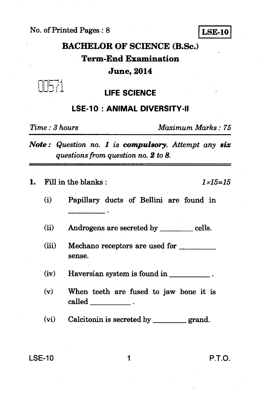No. of Printed Pages : 8 **LSE-10** 



# **BACHELOR OF SCIENCE (B.Sc.) Term-End Examination**

#### **June, 2014**

IIh⁄i

## **LIFE SCIENCE**

### **LSE-10 : ANIMAL DIVERSITY-II**

*Time : 3 hours Maximum Marks : 75* 

*Note : Question no. 1 is compulsory. Attempt any six questions from question no. 2 to 8.* 

**1.** Fill in the blanks :  $1 \times 15 = 15$ 

**(i) Papillary ducts of Bellini are found in** 

(ii) Androgens are secreted by \_\_\_\_\_\_\_ cells.

**(iii) Mechano receptors are used for sense.** 

**(iv) Haversian system is found in** 

**(v) When teeth are fused to jaw bone it is called** 

(vi) Calcitonin is secreted by <u>grand</u>.

**LSE-10 1 P.T.O.**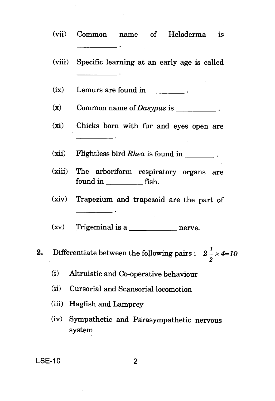|    | (vii)                                                                  | Heloderma<br>Common<br>name of<br><b>is</b>       |
|----|------------------------------------------------------------------------|---------------------------------------------------|
|    | (viii)                                                                 | Specific learning at an early age is called       |
|    | (ix)                                                                   | Lemurs are found in ___________.                  |
|    | $(\mathbf{x})$                                                         | Common name of Dasypus is __________.             |
|    | (xi)                                                                   | Chicks born with fur and eyes open are            |
|    | (xii)                                                                  | Flightless bird Rhea is found in ________.        |
|    | (xiii)                                                                 | The arboriform respiratory organs are             |
|    | (xiv)                                                                  | Trapezium and trapezoid are the part of           |
|    | (xv)                                                                   |                                                   |
| 2. | Differentiate between the following pairs : $2\frac{1}{2} \times 4=10$ |                                                   |
|    | (i)                                                                    | Altruistic and Co-operative behaviour             |
|    | (ii)                                                                   | Cursorial and Scansorial locomotion               |
|    | (iii)                                                                  | Hagfish and Lamprey                               |
|    | (iv)                                                                   | Sympathetic and Parasympathetic nervous<br>system |
|    |                                                                        |                                                   |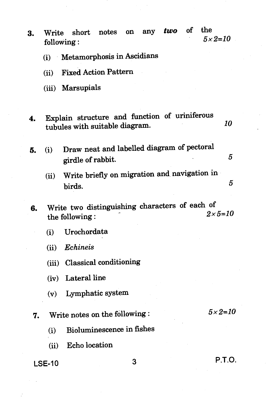| 3. | Write                             | following:                                                                      | short notes |   | on any | two | оf | the<br>$5 \times 2 = 10$ |  |
|----|-----------------------------------|---------------------------------------------------------------------------------|-------------|---|--------|-----|----|--------------------------|--|
|    | Metamorphosis in Ascidians<br>(i) |                                                                                 |             |   |        |     |    |                          |  |
|    | (ii)                              | <b>Fixed Action Pattern</b>                                                     |             |   |        |     |    |                          |  |
|    |                                   | (iii) Marsupials                                                                |             |   |        |     |    |                          |  |
| 4. |                                   | Explain structure and function of uriniferous<br>tubules with suitable diagram. |             |   |        |     |    | 10                       |  |
| 5. | (i)                               | Draw neat and labelled diagram of pectoral<br>girdle of rabbit.                 |             |   |        |     |    | 5                        |  |
|    | (ii)                              | Write briefly on migration and navigation in<br>birds.                          |             |   |        |     |    | 5                        |  |
| 6. |                                   | Write two distinguishing characters of each of<br>the following:                |             |   |        |     |    | $2 \times 5 = 10$        |  |
|    | (i)                               | Urochordata                                                                     |             |   |        |     |    |                          |  |
|    |                                   | (ii) Echineis                                                                   |             |   |        |     |    |                          |  |
|    |                                   | (iii) Classical conditioning                                                    |             |   |        |     |    |                          |  |
|    |                                   | (iv) Lateral line                                                               |             |   |        |     |    |                          |  |
|    |                                   | (v) Lymphatic system                                                            |             |   |        |     |    |                          |  |
| 7. |                                   | Write notes on the following:                                                   |             |   |        |     |    | $5 \times 2 = 10$        |  |
|    | (i)                               | Bioluminescence in fishes                                                       |             |   |        |     |    |                          |  |
|    | (ii)                              | Echo location                                                                   |             |   |        |     |    |                          |  |
|    | <b>LSE-10</b>                     |                                                                                 |             | 3 |        |     |    | P.T.O.                   |  |

ý,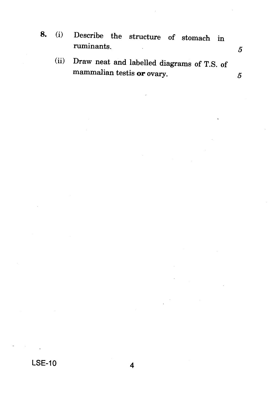- **8. (i)** Describe the structure of stomach in ruminants. 5
	- (ii) Draw neat and labelled diagrams of T.S. of mammalian testis **or** ovary.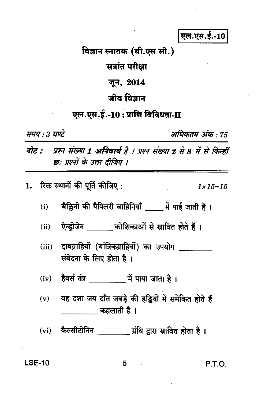एल.एस.ई.-10

विज्ञान स्नातक (बी.एस सी.)

सत्रांत परीक्षा

जून, 2014

जीव विज्ञान

एल.एस.ई.-10: प्राणि विविधता-II

समय : 3 घण्टे

अधिकतम अंक : 75

नोट : प्रश्न संख्या 1 अनिवार्य है । प्रश्न संख्या 2 से 8 में से किन्हीं छः प्रश्नों के उत्तर दीजिए ।

रिक्त स्थानों की पूर्ति कीजिए: 1.

 $1 \times 15 = 15$ 

- बैल्लिनी की पैपिलरी वाहिनियाँ भें पाई जाती हैं।  $(i)$
- ऐन्डोजेन \_\_\_\_\_ कोशिकाओं से स्रावित होते हैं।  $(ii)$
- दाबग्राहियों (यांत्रिकग्राहियों) का उपयोग  $(iii)$ संवेदना के लिए होता है।
- हैवर्स तंत्र करें पाया जाता है।  $(iv)$
- $(v)$ वह दशा जब दाँत जबड़े की हड़ियों में समेकित होते हैं \_\_\_\_\_\_\_\_\_ कहलाती है ।
- (vi) कैल्सीटोनिन \_\_\_\_\_\_\_\_\_ ग्रंथि द्वारा स्रावित होता है।

**LSE-10** 

5

**P.T.O.**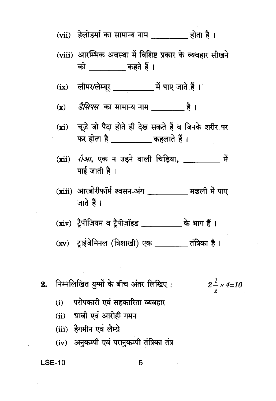- (vii) हेलोडर्मा का सामान्य नाम होता है ।
- (viii) आरम्भिक अवस्था में विशिष्ट प्रकार के व्यवहार सीखने को कहते हैं।
- 
- (x) *डैसिपस* का सामान्य नाम करें।
- (xi) चूज़े जो पैदा होते ही देख सकते हैं व जिनके शरीर पर
- (xii) *रीआ*, एक न उडने वाली चिडिया, में पाई जाती है।
- (xiii) आरबोरीफॉर्म श्वसन-अंग वाल का मछली में पाए जाते हैं।
- (xiv) ट्रैपीज़ियम व ट्रैपीज़ॉइड \_\_\_\_\_\_\_\_\_\_\_\_ के भाग हैं।
- (xv) ट्राईजेमिनल (त्रिशाखी) एक \_\_\_\_\_\_ तंत्रिका है ।
- निम्नलिखित युग्मों के बीच अंतर लिखिए :  $2.$

$$
2\frac{1}{2} \times 4=10
$$

- परोपकारी एवं सहकारिता व्यवहार  $(i)$
- (ii) धावी एवं आरोही गमन
- (iii) हैगमीन एवं लैम्प्रे
- (iv) अनुकम्पी एवं परानुकम्पी तंत्रिका तंत्र

#### **LSE-10**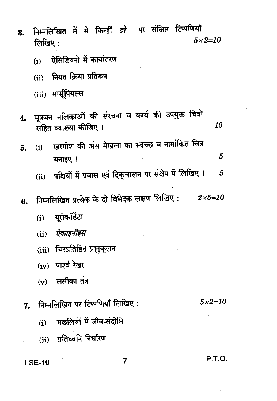| 3. | लिखिए : | निम्नलिखित में से किन्हीं <i>दो</i> पर संक्षिप्त टिप्पणियाँ                   | $5 \times 2 = 10$ |
|----|---------|-------------------------------------------------------------------------------|-------------------|
|    | (i)     | ऐसिडियनों में कायांतरण                                                        |                   |
|    | (ii)    | नियत क्रिया प्रतिरूप                                                          |                   |
|    |         | (iii) मार्सूपियल्स                                                            |                   |
| 4. |         | मूत्रजन नलिकाओं की संरचना व कार्य की उपयुक्त चित्रों<br>सहित व्याख्या कीजिए । | 10                |
| 5. | (i)     | खुरगोश की अंस मेखला का स्वच्छ व नामांकित चित्र                                |                   |
|    |         | बनाइए ।                                                                       | 5                 |
|    |         | (ii) पक्षियों में प्रवास एवं दिक् <b>चालन पर संक्षेप में लिखिए</b> ।          | 5                 |
| 6. |         | निम्नलिखित प्रत्येक के दो विभेदक लक्षण लिखिए: $2\times5=10$                   |                   |
|    | (i)     | यूरोकॉर्डेटा                                                                  |                   |
|    |         | (ii) ऐकाइनीइस                                                                 |                   |
|    |         | (iii) चिरप्रतिष्ठित प्रानुकूलन                                                |                   |
|    |         | (iv) पार्श्व रेखा                                                             |                   |
|    |         | $(v)$ लसीका तंत्र                                                             |                   |
| 7. |         | निम्नलिखित पर टिप्पणियाँ लिखिए:                                               | $5 \times 2 = 10$ |
|    | (i)     | मछलियों में जीव-संदीप्ति                                                      |                   |
|    |         | (ii) प्रतिध्वनि निर्धारण                                                      |                   |
|    |         |                                                                               |                   |

LSE-10

 $\overline{7}$ 

**P.T.O.**